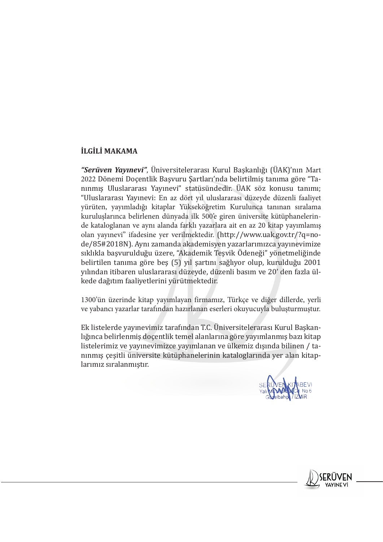## **İLGİLİ MAKAMA**

*"Serüven Yayınevi"*, Üniversitelerarası Kurul Başkanlığı (ÜAK)'nın Mart 2022 Dönemi Doçentlik Başvuru Şartları'nda belirtilmiş tanıma göre "Tanınmış Uluslararası Yayınevi" statüsündedir. ÜAK söz konusu tanımı; "Uluslararası Yayınevi: En az dört yıl uluslararası düzeyde düzenli faaliyet yürüten, yayımladığı kitaplar Yükseköğretim Kurulunca tanınan sıralama kuruluşlarınca belirlenen dünyada ilk 500'e giren üniversite kütüphanelerinde kataloglanan ve aynı alanda farklı yazarlara ait en az 20 kitap yayımlamış olan yayınevi" ifadesine yer verilmektedir. (http://www.uak.gov.tr/?q=node/85#2018N). Aynı zamanda akademisyen yazarlarımızca yayınevimize sıklıkla başvurulduğu üzere, "Akademik Teşvik Ödeneği" yönetmeliğinde belirtilen tanıma göre beş (5) yıl şartını sağlıyor olup, kurulduğu 2001 yılından itibaren uluslararası düzeyde, düzenli basım ve 20' den fazla ülkede dağıtım faaliyetlerini yürütmektedir.

1300'ün üzerinde kitap yayımlayan firmamız, Türkçe ve diğer dillerde, yerli ve yabancı yazarlar tarafından hazırlanan eserleri okuyucuyla buluşturmuştur.

Ek listelerde yayınevimiz tarafından T.C. Üniversitelerarası Kurul Başkanlığınca belirlenmiş doçentlik temel alanlarına göre yayımlanmış bazı kitap listelerimiz ve yayınevimizce yayımlanan ve ülkemiz dışında bilinen / tanınmış çeşitli üniversite kütüphanelerinin kataloglarında yer alan kitaplarımız sıralanmıştır.

SERIVEN KIMBEVI

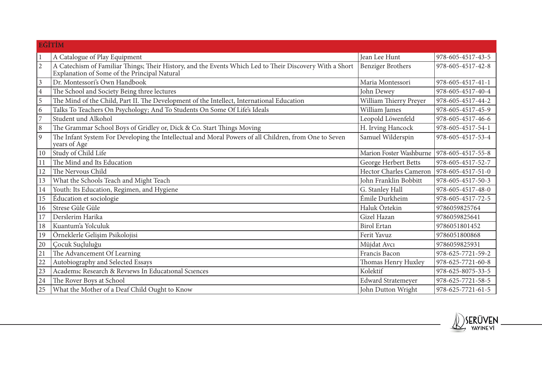|                | <b>EĞİTİM</b>                                                                                                                                           |                           |                   |
|----------------|---------------------------------------------------------------------------------------------------------------------------------------------------------|---------------------------|-------------------|
|                | A Catalogue of Play Equipment                                                                                                                           | Jean Lee Hunt             | 978-605-4517-43-5 |
| $\overline{2}$ | A Catechism of Familiar Things; Their History, and the Events Which Led to Their Discovery With a Short<br>Explanation of Some of the Principal Natural | <b>Benziger Brothers</b>  | 978-605-4517-42-8 |
| 3              | Dr. Montessori's Own Handbook                                                                                                                           | Maria Montessori          | 978-605-4517-41-1 |
| $\overline{4}$ | The School and Society Being three lectures                                                                                                             | John Dewey                | 978-605-4517-40-4 |
| 5              | The Mind of the Child, Part II. The Development of the Intellect, International Education                                                               | William Thierry Preyer    | 978-605-4517-44-2 |
| 6              | Talks To Teachers On Psychology; And To Students On Some Of Life's Ideals                                                                               | William James             | 978-605-4517-45-9 |
| 7              | Student und Alkohol                                                                                                                                     | Leopold Löwenfeld         | 978-605-4517-46-6 |
| 8              | The Grammar School Boys of Gridley or, Dick & Co. Start Things Moving                                                                                   | H. Irving Hancock         | 978-605-4517-54-1 |
| 9              | The Infant System For Developing the Intellectual and Moral Powers of all Children, from One to Seven<br>years of Age <sup>-</sup>                      | Samuel Wilderspin         | 978-605-4517-53-4 |
| 10             | Study of Child Life                                                                                                                                     | Marion Foster Washburne   | 978-605-4517-55-8 |
| 11             | The Mind and Its Education                                                                                                                              | George Herbert Betts      | 978-605-4517-52-7 |
| 12             | The Nervous Child                                                                                                                                       | Hector Charles Cameron    | 978-605-4517-51-0 |
| 13             | What the Schools Teach and Might Teach                                                                                                                  | John Franklin Bobbitt     | 978-605-4517-50-3 |
| 14             | Youth: Its Education, Regimen, and Hygiene                                                                                                              | G. Stanley Hall           | 978-605-4517-48-0 |
| 15             | Éducation et sociologie                                                                                                                                 | Émile Durkheim            | 978-605-4517-72-5 |
| 16             | Strese Güle Güle                                                                                                                                        | Haluk Öztekin             | 9786059825764     |
| 17             | Derslerim Harika                                                                                                                                        | Gizel Hazan               | 9786059825641     |
| 18             | Kuantum'a Yolculuk                                                                                                                                      | <b>Birol Ertan</b>        | 9786051801452     |
| 19             | Örneklerle Gelişim Psikolojisi                                                                                                                          | Ferit Yavuz               | 9786051800868     |
| 20             | Çocuk Suçluluğu                                                                                                                                         | Müjdat Avcı               | 9786059825931     |
| 21             | The Advancement Of Learning                                                                                                                             | Francis Bacon             | 978-625-7721-59-2 |
| 22             | Autobiography and Selected Essays                                                                                                                       | Thomas Henry Huxley       | 978-625-7721-60-8 |
| 23             | Academic Research & Reviews In Educational Sciences                                                                                                     | Kolektif                  | 978-625-8075-33-5 |
| 24             | The Rover Boys at School                                                                                                                                | <b>Edward Stratemeyer</b> | 978-625-7721-58-5 |
| 25             | What the Mother of a Deaf Child Ought to Know                                                                                                           | John Dutton Wright        | 978-625-7721-61-5 |

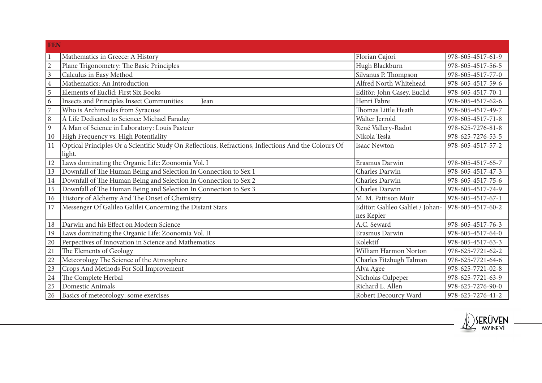|                | <b>FEN</b>                                                                                           |                                  |                   |  |
|----------------|------------------------------------------------------------------------------------------------------|----------------------------------|-------------------|--|
|                | Mathematics in Greece: A History                                                                     | Florian Cajori                   | 978-605-4517-61-9 |  |
| $\overline{2}$ | Plane Trigonometry: The Basic Principles                                                             | Hugh Blackburn                   | 978-605-4517-56-5 |  |
| $\mathfrak{Z}$ | Calculus in Easy Method                                                                              | Silvanus P. Thompson             | 978-605-4517-77-0 |  |
| $\overline{4}$ | Mathematics: An Introduction                                                                         | Alfred North Whitehead           | 978-605-4517-59-6 |  |
| 5              | Elements of Euclid: First Six Books                                                                  | Editör: John Casey, Euclid       | 978-605-4517-70-1 |  |
| 6              | Insects and Principles Insect Communities<br>Jean                                                    | Henri Fabre                      | 978-605-4517-62-6 |  |
| $\overline{7}$ | Who is Archimedes from Syracuse                                                                      | Thomas Little Heath              | 978-605-4517-49-7 |  |
| 8              | A Life Dedicated to Science: Michael Faraday                                                         | Walter Jerrold                   | 978-605-4517-71-8 |  |
| 9              | A Man of Science in Laboratory: Louis Pasteur                                                        | René Vallery-Radot               | 978-625-7276-81-8 |  |
| $10\,$         | High Frequency vs. High Potentiality                                                                 | Nikola Tesla                     | 978-625-7276-53-5 |  |
| 11             | Optical Principles Or a Scientific Study On Reflections, Refractions, Inflections And the Colours Of | <b>Isaac Newton</b>              | 978-605-4517-57-2 |  |
|                | light.                                                                                               |                                  |                   |  |
| 12             | Laws dominating the Organic Life: Zoonomia Vol. I                                                    | Erasmus Darwin                   | 978-605-4517-65-7 |  |
| 13             | Downfall of The Human Being and Selection In Connection to Sex 1                                     | Charles Darwin                   | 978-605-4517-47-3 |  |
| 14             | Downfall of The Human Being and Selection In Connection to Sex 2                                     | Charles Darwin                   | 978-605-4517-75-6 |  |
| 15             | Downfall of The Human Being and Selection In Connection to Sex 3                                     | Charles Darwin                   | 978-605-4517-74-9 |  |
| 16             | History of Alchemy And The Onset of Chemistry                                                        | M. M. Pattison Muir              | 978-605-4517-67-1 |  |
| 17             | Messenger Of Galileo Galilei Concerning the Distant Stars                                            | Editör: Galileo Galilei / Johan- | 978-605-4517-60-2 |  |
|                |                                                                                                      | nes Kepler                       |                   |  |
| 18             | Darwin and his Effect on Modern Science                                                              | A.C. Seward                      | 978-605-4517-76-3 |  |
| 19             | Laws dominating the Organic Life: Zoonomia Vol. II                                                   | Erasmus Darwin                   | 978-605-4517-64-0 |  |
| 20             | Perpectives of Innovation in Science and Mathematics                                                 | Kolektif                         | 978-605-4517-63-3 |  |
| 21             | The Elements of Geology                                                                              | William Harmon Norton            | 978-625-7721-62-2 |  |
| 22             | Meteorology The Science of the Atmosphere                                                            | Charles Fitzhugh Talman          | 978-625-7721-64-6 |  |
| 23             | Crops And Methods For Soil İmprovement                                                               | Alva Agee                        | 978-625-7721-02-8 |  |
| 24             | The Complete Herbal                                                                                  | Nicholas Culpeper                | 978-625-7721-63-9 |  |
| 25             | Domestic Animals                                                                                     | Richard L. Allen                 | 978-625-7276-90-0 |  |
| 26             | Basics of meteorology: some exercises                                                                | Robert Decourcy Ward             | 978-625-7276-41-2 |  |

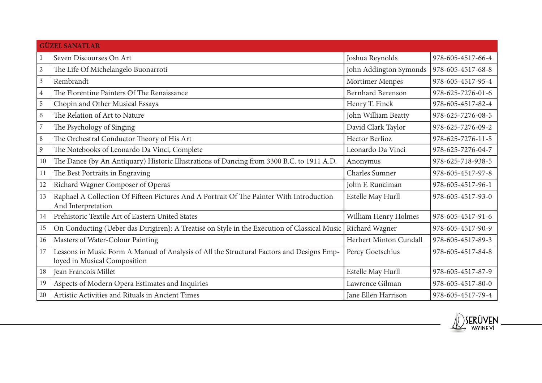|                | <b>GÜZEL SANATLAR</b>                                                                                                     |                          |                   |  |
|----------------|---------------------------------------------------------------------------------------------------------------------------|--------------------------|-------------------|--|
|                | Seven Discourses On Art                                                                                                   | Joshua Reynolds          | 978-605-4517-66-4 |  |
| $\overline{2}$ | The Life Of Michelangelo Buonarroti                                                                                       | John Addington Symonds   | 978-605-4517-68-8 |  |
| $\mathfrak{Z}$ | Rembrandt                                                                                                                 | Mortimer Menpes          | 978-605-4517-95-4 |  |
| $\overline{4}$ | The Florentine Painters Of The Renaissance                                                                                | <b>Bernhard Berenson</b> | 978-625-7276-01-6 |  |
| 5              | Chopin and Other Musical Essays                                                                                           | Henry T. Finck           | 978-605-4517-82-4 |  |
| 6              | The Relation of Art to Nature                                                                                             | John William Beatty      | 978-625-7276-08-5 |  |
| $\overline{7}$ | The Psychology of Singing                                                                                                 | David Clark Taylor       | 978-625-7276-09-2 |  |
| $\, 8$         | The Orchestral Conductor Theory of His Art                                                                                | <b>Hector Berlioz</b>    | 978-625-7276-11-5 |  |
| 9              | The Notebooks of Leonardo Da Vinci, Complete                                                                              | Leonardo Da Vinci        | 978-625-7276-04-7 |  |
| 10             | The Dance (by An Antiquary) Historic Illustrations of Dancing from 3300 B.C. to 1911 A.D.                                 | Anonymus                 | 978-625-718-938-5 |  |
| 11             | The Best Portraits in Engraving                                                                                           | <b>Charles Sumner</b>    | 978-605-4517-97-8 |  |
| 12             | Richard Wagner Composer of Operas                                                                                         | John F. Runciman         | 978-605-4517-96-1 |  |
| 13             | Raphael A Collection Of Fifteen Pictures And A Portrait Of The Painter With Introduction<br>And Interpretation            | Estelle May Hurll        | 978-605-4517-93-0 |  |
| 14             | Prehistoric Textile Art of Eastern United States                                                                          | William Henry Holmes     | 978-605-4517-91-6 |  |
| 15             | On Conducting (Ueber das Dirigiren): A Treatise on Style in the Execution of Classical Music                              | Richard Wagner           | 978-605-4517-90-9 |  |
| 16             | Masters of Water-Colour Painting                                                                                          | Herbert Minton Cundall   | 978-605-4517-89-3 |  |
| 17             | Lessons in Music Form A Manual of Analysis of All the Structural Factors and Designs Emp-<br>loyed in Musical Composition | Percy Goetschius         | 978-605-4517-84-8 |  |
| 18             | Jean Francois Millet                                                                                                      | Estelle May Hurll        | 978-605-4517-87-9 |  |
| 19             | Aspects of Modern Opera Estimates and Inquiries                                                                           | Lawrence Gilman          | 978-605-4517-80-0 |  |
| 20             | Artistic Activities and Rituals in Ancient Times                                                                          | Jane Ellen Harrison      | 978-605-4517-79-4 |  |

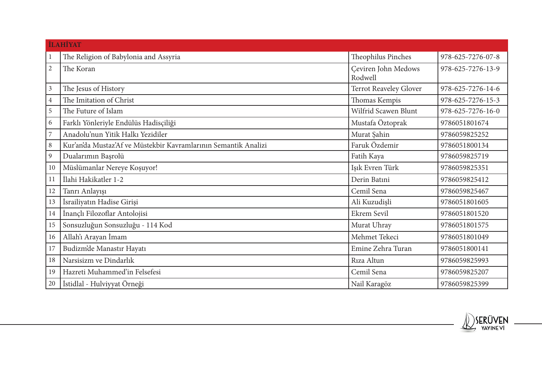|                | <b>İLAHİYAT</b>                                                 |                                       |                   |  |
|----------------|-----------------------------------------------------------------|---------------------------------------|-------------------|--|
|                | The Religion of Babylonia and Assyria                           | Theophilus Pinches                    | 978-625-7276-07-8 |  |
| $\overline{2}$ | The Koran                                                       | <b>Ceviren John Medows</b><br>Rodwell | 978-625-7276-13-9 |  |
| $\mathfrak{Z}$ | The Jesus of History                                            | Terrot Reaveley Glover                | 978-625-7276-14-6 |  |
| 4              | The Imitation of Christ                                         | Thomas Kempis                         | 978-625-7276-15-3 |  |
| 5              | The Future of Islam                                             | Wilfrid Scawen Blunt                  | 978-625-7276-16-0 |  |
| 6              | Farklı Yönleriyle Endülüs Hadisçiliği                           | Mustafa Öztoprak                      | 9786051801674     |  |
| $\overline{7}$ | Anadolu'nun Yitik Halkı Yezidiler                               | Murat Şahin                           | 9786059825252     |  |
| $\,8\,$        | Kur'an'da Mustaz'Af ve Müstekbir Kavramlarının Semantik Analizi | Faruk Özdemir                         | 9786051800134     |  |
| $\mathbf{9}$   | Dualarımın Başrolü                                              | Fatih Kaya                            | 9786059825719     |  |
| 10             | Müslümanlar Nereye Koşuyor!                                     | Işık Evren Türk                       | 9786059825351     |  |
| 11             | İlahi Hakikatler 1-2                                            | Derin Batıni                          | 9786059825412     |  |
| 12             | Tanrı Anlayışı                                                  | Cemil Sena                            | 9786059825467     |  |
| 13             | İsrailiyatın Hadise Girişi                                      | Ali Kuzudişli                         | 9786051801605     |  |
| 14             | İnançlı Filozoflar Antolojisi                                   | Ekrem Sevil                           | 9786051801520     |  |
| 15             | Sonsuzluğun Sonsuzluğu - 114 Kod                                | Murat Uhray                           | 9786051801575     |  |
| 16             | Allah'ı Arayan İmam                                             | Mehmet Tekeci                         | 9786051801049     |  |
| 17             | Budizm'de Manastır Hayatı                                       | Emine Zehra Turan                     | 9786051800141     |  |
| 18             | Narsisizm ve Dindarlık                                          | Rıza Altun                            | 9786059825993     |  |
| 19             | Hazreti Muhammed'in Felsefesi                                   | Cemil Sena                            | 9786059825207     |  |
| $20\,$         | İstidlal - Hulviyyat Örneği                                     | Nail Karagöz                          | 9786059825399     |  |

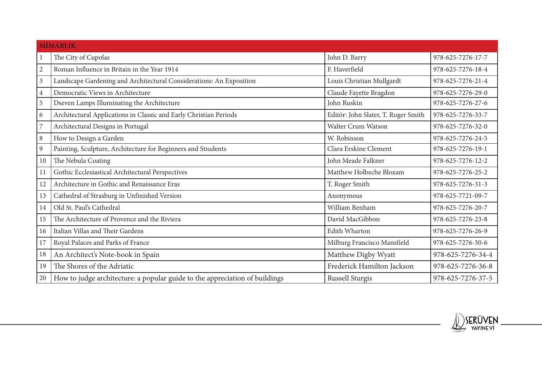|                | <b>MİMARLIK</b>                                                             |                                     |                   |  |  |
|----------------|-----------------------------------------------------------------------------|-------------------------------------|-------------------|--|--|
|                | The City of Cupolas                                                         | John D. Barry                       | 978-625-7276-17-7 |  |  |
| $\mathbf{2}$   | Roman Influence in Britain in the Year 1914                                 | F. Haverfield                       | 978-625-7276-18-4 |  |  |
| $\overline{3}$ | Landscape Gardening and Architectural Considerations: An Exposition         | Louis Christian Mullgardt           | 978-625-7276-21-4 |  |  |
| $\overline{4}$ | Democratic Views in Architecture                                            | Claude Fayette Bragdon              | 978-625-7276-29-0 |  |  |
| 5              | Dseven Lamps Illuminating the Architecture                                  | John Ruskin                         | 978-625-7276-27-6 |  |  |
| 6              | Architectural Applications in Classic and Early Christian Periods           | Editör: John Slater, T. Roger Smith | 978-625-7276-33-7 |  |  |
| $\overline{7}$ | Architectural Designs in Portugal                                           | Walter Crum Watson                  | 978-625-7276-32-0 |  |  |
| $\, 8$         | How to Design a Garden                                                      | W. Robinson                         | 978-625-7276-24-5 |  |  |
| 9              | Painting, Sculpture, Architecture for Beginners and Students                | Clara Erskine Clement               | 978-625-7276-19-1 |  |  |
| 10             | The Nebula Coating                                                          | John Meade Falkner                  | 978-625-7276-12-2 |  |  |
| 11             | Gothic Ecclesiastical Architectural Perspectives                            | Matthew Holbeche Bloxam             | 978-625-7276-25-2 |  |  |
| 12             | Architecture in Gothic and Renaissance Eras                                 | T. Roger Smith                      | 978-625-7276-31-3 |  |  |
| 13             | Cathedral of Strasburg in Unfinished Version                                | Anonymous                           | 978-625-7721-09-7 |  |  |
| 14             | Old St. Paul's Cathedral                                                    | William Benham                      | 978-625-7276-20-7 |  |  |
| 15             | The Architecture of Provence and the Riviera                                | David MacGibbon                     | 978-625-7276-23-8 |  |  |
| 16             | Italian Villas and Their Gardens                                            | Edith Wharton                       | 978-625-7276-26-9 |  |  |
| 17             | Royal Palaces and Parks of France                                           | Milburg Francisco Mansfield         | 978-625-7276-30-6 |  |  |
| 18             | An Architect's Note-book in Spain                                           | Matthew Digby Wyatt                 | 978-625-7276-34-4 |  |  |
| 19             | The Shores of the Adriatic                                                  | Frederick Hamilton Jackson          | 978-625-7276-36-8 |  |  |
| 20             | How to judge architecture: a popular guide to the appreciation of buildings | <b>Russell Sturgis</b>              | 978-625-7276-37-5 |  |  |

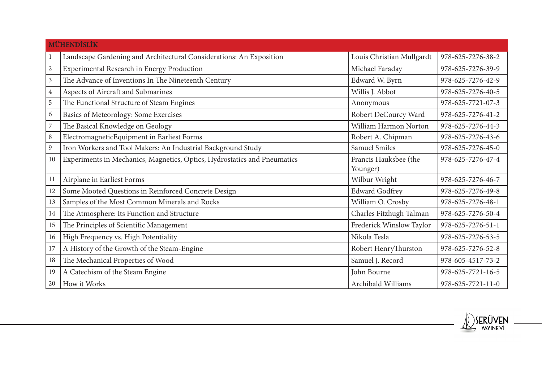|                | <b>MÜHENDİSLİK</b>                                                       |                                   |                   |  |  |
|----------------|--------------------------------------------------------------------------|-----------------------------------|-------------------|--|--|
|                | Landscape Gardening and Architectural Considerations: An Exposition      | Louis Christian Mullgardt         | 978-625-7276-38-2 |  |  |
| $\sqrt{2}$     | Experimental Research in Energy Production                               | Michael Faraday                   | 978-625-7276-39-9 |  |  |
| $\mathfrak{Z}$ | The Advance of Inventions In The Nineteenth Century                      | Edward W. Byrn                    | 978-625-7276-42-9 |  |  |
| $\overline{4}$ | Aspects of Aircraft and Submarines                                       | Willis J. Abbot                   | 978-625-7276-40-5 |  |  |
| 5              | The Functional Structure of Steam Engines                                | Anonymous                         | 978-625-7721-07-3 |  |  |
| 6              | Basics of Meteorology: Some Exercises                                    | Robert DeCourcy Ward              | 978-625-7276-41-2 |  |  |
| $\overline{7}$ | The Basical Knowledge on Geology                                         | William Harmon Norton             | 978-625-7276-44-3 |  |  |
| 8              | ElectromagneticEquipment in Earliest Forms                               | Robert A. Chipman                 | 978-625-7276-43-6 |  |  |
| $\mathfrak{g}$ | Iron Workers and Tool Makers: An Industrial Background Study             | <b>Samuel Smiles</b>              | 978-625-7276-45-0 |  |  |
| 10             | Experiments in Mechanics, Magnetics, Optics, Hydrostatics and Pneumatics | Francis Hauksbee (the<br>Younger) | 978-625-7276-47-4 |  |  |
| 11             | Airplane in Earliest Forms                                               | Wilbur Wright                     | 978-625-7276-46-7 |  |  |
| 12             | Some Mooted Questions in Reinforced Concrete Design                      | <b>Edward Godfrey</b>             | 978-625-7276-49-8 |  |  |
| 13             | Samples of the Most Common Minerals and Rocks                            | William O. Crosby                 | 978-625-7276-48-1 |  |  |
| 14             | The Atmosphere: Its Function and Structure                               | Charles Fitzhugh Talman           | 978-625-7276-50-4 |  |  |
| 15             | The Principles of Scientific Management                                  | Frederick Winslow Taylor          | 978-625-7276-51-1 |  |  |
| 16             | High Frequency vs. High Potentiality                                     | Nikola Tesla                      | 978-625-7276-53-5 |  |  |
| 17             | A History of the Growth of the Steam-Engine                              | Robert HenryThurston              | 978-625-7276-52-8 |  |  |
| 18             | The Mechanical Properties of Wood                                        | Samuel J. Record                  | 978-605-4517-73-2 |  |  |
| 19             | A Catechism of the Steam Engine                                          | John Bourne                       | 978-625-7721-16-5 |  |  |
| 20             | How it Works                                                             | Archibald Williams                | 978-625-7721-11-0 |  |  |

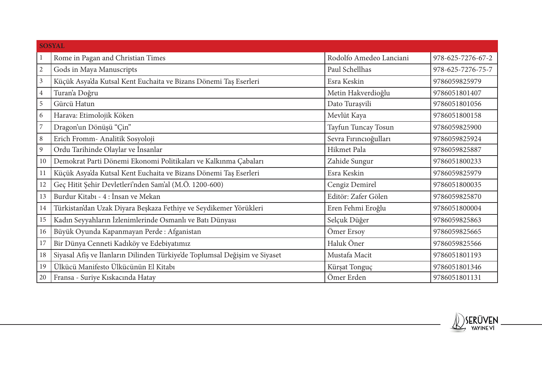|                | <b>SOSYAL</b>                                                              |                         |                   |  |  |
|----------------|----------------------------------------------------------------------------|-------------------------|-------------------|--|--|
|                | Rome in Pagan and Christian Times                                          | Rodolfo Amedeo Lanciani | 978-625-7276-67-2 |  |  |
| $\mathbf{2}$   | Gods in Maya Manuscripts                                                   | Paul Schellhas          | 978-625-7276-75-7 |  |  |
| $\mathfrak{Z}$ | Küçük Asya'da Kutsal Kent Euchaita ve Bizans Dönemi Taş Eserleri           | Esra Keskin             | 9786059825979     |  |  |
| $\overline{4}$ | Turan'a Doğru                                                              | Metin Hakverdioğlu      | 9786051801407     |  |  |
| 5              | Gürcü Hatun                                                                | Dato Turașvili          | 9786051801056     |  |  |
| 6              | Harava: Etimolojik Köken                                                   | Mevlüt Kaya             | 9786051800158     |  |  |
| $\overline{7}$ | Dragon'un Dönüşü "Çin"                                                     | Tayfun Tuncay Tosun     | 9786059825900     |  |  |
| $\,8\,$        | Erich Fromm- Analitik Sosyoloji                                            | Sevra Fırıncıoğulları   | 9786059825924     |  |  |
| 9              | Ordu Tarihinde Olaylar ve İnsanlar                                         | Hikmet Pala             | 9786059825887     |  |  |
| 10             | Demokrat Parti Dönemi Ekonomi Politikaları ve Kalkınma Çabaları            | Zahide Sungur           | 9786051800233     |  |  |
| 11             | Küçük Asya'da Kutsal Kent Euchaita ve Bizans Dönemi Taş Eserleri           | Esra Keskin             | 9786059825979     |  |  |
| 12             | Geç Hitit Şehir Devletleri'nden Sam'al (M.Ö. 1200-600)                     | Cengiz Demirel          | 9786051800035     |  |  |
| 13             | Burdur Kitabı - 4 : İnsan ve Mekan                                         | Editör: Zafer Gölen     | 9786059825870     |  |  |
| 14             | Türkistan'dan Uzak Diyara Beşkaza Fethiye ve Seydikemer Yörükleri          | Eren Fehmi Eroğlu       | 9786051800004     |  |  |
| 15             | Kadın Seyyahların İzlenimlerinde Osmanlı ve Batı Dünyası                   | Selçuk Düğer            | 9786059825863     |  |  |
| 16             | Büyük Oyunda Kapanmayan Perde: Afganistan                                  | Ömer Ersoy              | 9786059825665     |  |  |
| 17             | Bir Dünya Cenneti Kadıköy ve Edebiyatımız                                  | Haluk Öner              | 9786059825566     |  |  |
| 18             | Siyasal Afiş ve İlanların Dilinden Türkiye'de Toplumsal Değişim ve Siyaset | Mustafa Macit           | 9786051801193     |  |  |
| 19             | Ülkücü Manifesto Ülkücünün El Kitabı                                       | Kürşat Tonguç           | 9786051801346     |  |  |
| 20             | Fransa - Suriye Kıskacında Hatay                                           | Ömer Erden              | 9786051801131     |  |  |

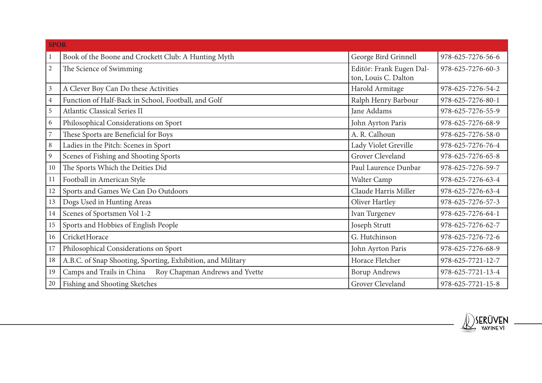|                | <b>SPOR</b>                                                 |                          |                   |  |
|----------------|-------------------------------------------------------------|--------------------------|-------------------|--|
|                | Book of the Boone and Crockett Club: A Hunting Myth         | George Bird Grinnell     | 978-625-7276-56-6 |  |
| $\overline{2}$ | The Science of Swimming                                     | Editör: Frank Eugen Dal- | 978-625-7276-60-3 |  |
|                |                                                             | ton, Louis C. Dalton     |                   |  |
| $\mathfrak{Z}$ | A Clever Boy Can Do these Activities                        | Harold Armitage          | 978-625-7276-54-2 |  |
| $\overline{4}$ | Function of Half-Back in School, Football, and Golf         | Ralph Henry Barbour      | 978-625-7276-80-1 |  |
| 5              | Atlantic Classical Series II                                | Jane Addams              | 978-625-7276-55-9 |  |
| 6              | Philosophical Considerations on Sport                       | John Ayrton Paris        | 978-625-7276-68-9 |  |
| $\overline{7}$ | These Sports are Beneficial for Boys                        | A. R. Calhoun            | 978-625-7276-58-0 |  |
| $\,8\,$        | Ladies in the Pitch: Scenes in Sport                        | Lady Violet Greville     | 978-625-7276-76-4 |  |
| $\mathbf{9}$   | Scenes of Fishing and Shooting Sports                       | Grover Cleveland         | 978-625-7276-65-8 |  |
| 10             | The Sports Which the Deities Did                            | Paul Laurence Dunbar     | 978-625-7276-59-7 |  |
| 11             | Football in American Style                                  | Walter Camp              | 978-625-7276-63-4 |  |
| 12             | Sports and Games We Can Do Outdoors                         | Claude Harris Miller     | 978-625-7276-63-4 |  |
| 13             | Dogs Used in Hunting Areas                                  | Oliver Hartley           | 978-625-7276-57-3 |  |
| 14             | Scenes of Sportsmen Vol 1-2                                 | Ivan Turgenev            | 978-625-7276-64-1 |  |
| 15             | Sports and Hobbies of English People                        | Joseph Strutt            | 978-625-7276-62-7 |  |
| 16             | CricketHorace                                               | G. Hutchinson            | 978-625-7276-72-6 |  |
| 17             | Philosophical Considerations on Sport                       | John Ayrton Paris        | 978-625-7276-68-9 |  |
| 18             | A.B.C. of Snap Shooting, Sporting, Exhibition, and Military | Horace Fletcher          | 978-625-7721-12-7 |  |
| 19             | Camps and Trails in China<br>Roy Chapman Andrews and Yvette | <b>Borup Andrews</b>     | 978-625-7721-13-4 |  |
| $20\,$         | Fishing and Shooting Sketches                               | Grover Cleveland         | 978-625-7721-15-8 |  |

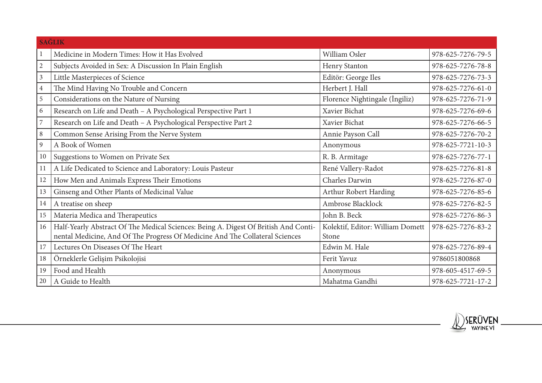|                | <b>SAĞLIK</b>                                                                                                                                                       |                                           |                   |  |  |
|----------------|---------------------------------------------------------------------------------------------------------------------------------------------------------------------|-------------------------------------------|-------------------|--|--|
|                | Medicine in Modern Times: How it Has Evolved                                                                                                                        | William Osler                             | 978-625-7276-79-5 |  |  |
| $\overline{2}$ | Subjects Avoided in Sex: A Discussion In Plain English                                                                                                              | Henry Stanton                             | 978-625-7276-78-8 |  |  |
| $\mathfrak{Z}$ | Little Masterpieces of Science                                                                                                                                      | Editör: George Iles                       | 978-625-7276-73-3 |  |  |
| $\overline{4}$ | The Mind Having No Trouble and Concern                                                                                                                              | Herbert J. Hall                           | 978-625-7276-61-0 |  |  |
| 5              | Considerations on the Nature of Nursing                                                                                                                             | Florence Nightingale (İngiliz)            | 978-625-7276-71-9 |  |  |
| 6              | Research on Life and Death - A Psychological Perspective Part 1                                                                                                     | Xavier Bichat                             | 978-625-7276-69-6 |  |  |
| $\overline{7}$ | Research on Life and Death - A Psychological Perspective Part 2                                                                                                     | Xavier Bichat                             | 978-625-7276-66-5 |  |  |
| $\,8\,$        | Common Sense Arising From the Nerve System                                                                                                                          | Annie Payson Call                         | 978-625-7276-70-2 |  |  |
| 9              | A Book of Women                                                                                                                                                     | Anonymous                                 | 978-625-7721-10-3 |  |  |
| 10             | Suggestions to Women on Private Sex                                                                                                                                 | R. B. Armitage                            | 978-625-7276-77-1 |  |  |
| 11             | A Life Dedicated to Science and Laboratory: Louis Pasteur                                                                                                           | René Vallery-Radot                        | 978-625-7276-81-8 |  |  |
| 12             | How Men and Animals Express Their Emotions                                                                                                                          | Charles Darwin                            | 978-625-7276-87-0 |  |  |
| 13             | Ginseng and Other Plants of Medicinal Value                                                                                                                         | Arthur Robert Harding                     | 978-625-7276-85-6 |  |  |
| 14             | A treatise on sheep                                                                                                                                                 | Ambrose Blacklock                         | 978-625-7276-82-5 |  |  |
| 15             | Materia Medica and Therapeutics                                                                                                                                     | John B. Beck                              | 978-625-7276-86-3 |  |  |
| 16             | Half-Yearly Abstract Of The Medical Sciences: Being A. Digest Of British And Conti-<br>nental Medicine, And Of The Progress Of Medicine And The Collateral Sciences | Kolektif, Editor: William Domett<br>Stone | 978-625-7276-83-2 |  |  |
| 17             | Lectures On Diseases Of The Heart                                                                                                                                   | Edwin M. Hale                             | 978-625-7276-89-4 |  |  |
| 18             | Örneklerle Gelişim Psikolojisi                                                                                                                                      | Ferit Yavuz                               | 9786051800868     |  |  |
| 19             | Food and Health                                                                                                                                                     | Anonymous                                 | 978-605-4517-69-5 |  |  |
| 20             | A Guide to Health                                                                                                                                                   | Mahatma Gandhi                            | 978-625-7721-17-2 |  |  |

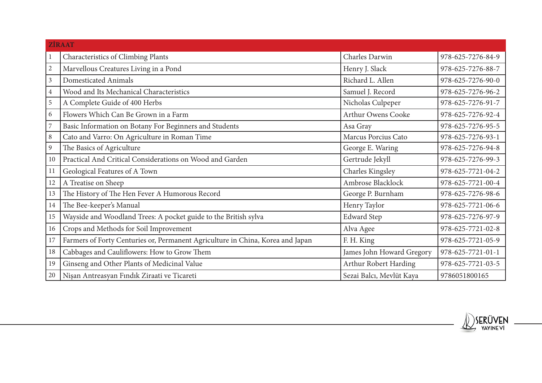|                | <b>ZİRAAT</b>                                                                  |                           |                   |  |
|----------------|--------------------------------------------------------------------------------|---------------------------|-------------------|--|
|                | Characteristics of Climbing Plants                                             | Charles Darwin            | 978-625-7276-84-9 |  |
| $\overline{2}$ | Marvellous Creatures Living in a Pond                                          | Henry J. Slack            | 978-625-7276-88-7 |  |
| $\mathfrak{Z}$ | Domesticated Animals                                                           | Richard L. Allen          | 978-625-7276-90-0 |  |
| $\overline{4}$ | Wood and Its Mechanical Characteristics                                        | Samuel J. Record          | 978-625-7276-96-2 |  |
| $\mathbf 5$    | A Complete Guide of 400 Herbs                                                  | Nicholas Culpeper         | 978-625-7276-91-7 |  |
| 6              | Flowers Which Can Be Grown in a Farm                                           | Arthur Owens Cooke        | 978-625-7276-92-4 |  |
| 7              | Basic Information on Botany For Beginners and Students                         | Asa Gray                  | 978-625-7276-95-5 |  |
| 8              | Cato and Varro: On Agriculture in Roman Time                                   | Marcus Porcius Cato       | 978-625-7276-93-1 |  |
| $\overline{9}$ | The Basics of Agriculture                                                      | George E. Waring          | 978-625-7276-94-8 |  |
| 10             | Practical And Critical Considerations on Wood and Garden                       | Gertrude Jekyll           | 978-625-7276-99-3 |  |
| 11             | Geological Features of A Town                                                  | Charles Kingsley          | 978-625-7721-04-2 |  |
| 12             | A Treatise on Sheep                                                            | Ambrose Blacklock         | 978-625-7721-00-4 |  |
| 13             | The History of The Hen Fever A Humorous Record                                 | George P. Burnham         | 978-625-7276-98-6 |  |
| 14             | The Bee-keeper's Manual                                                        | Henry Taylor              | 978-625-7721-06-6 |  |
| 15             | Wayside and Woodland Trees: A pocket guide to the British sylva                | <b>Edward Step</b>        | 978-625-7276-97-9 |  |
| 16             | Crops and Methods for Soil Improvement                                         | Alva Agee                 | 978-625-7721-02-8 |  |
| 17             | Farmers of Forty Centuries or, Permanent Agriculture in China, Korea and Japan | F. H. King                | 978-625-7721-05-9 |  |
| 18             | Cabbages and Cauliflowers: How to Grow Them                                    | James John Howard Gregory | 978-625-7721-01-1 |  |
| 19             | Ginseng and Other Plants of Medicinal Value                                    | Arthur Robert Harding     | 978-625-7721-03-5 |  |
| 20             | Nişan Antreasyan Fındık Ziraati ve Ticareti                                    | Sezai Balcı, Mevlüt Kaya  | 9786051800165     |  |

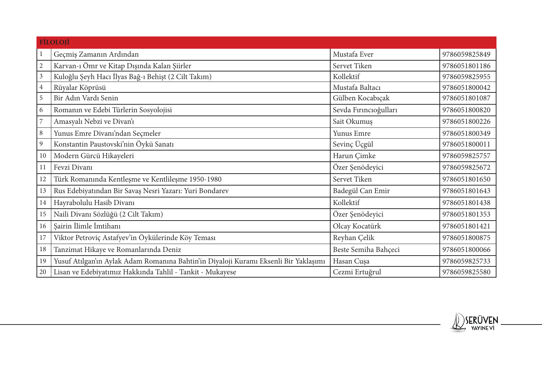|                  | <b>FİLOLOJİ</b>                                                                      |                       |               |
|------------------|--------------------------------------------------------------------------------------|-----------------------|---------------|
|                  | Geçmiş Zamanın Ardından                                                              | Mustafa Ever          | 9786059825849 |
| $\mathbf{2}$     | Karvan-ı Ömr ve Kitap Dışında Kalan Şiirler                                          | Servet Tiken          | 9786051801186 |
| $\mathfrak{Z}$   | Kuloğlu Şeyh Hacı İlyas Bağ-ı Behişt (2 Cilt Takım)                                  | Kollektif             | 9786059825955 |
| $\overline{4}$   | Rüyalar Köprüsü                                                                      | Mustafa Baltacı       | 9786051800042 |
| 5                | Bir Adın Vardı Senin                                                                 | Gülben Kocabıçak      | 9786051801087 |
| $\boldsymbol{6}$ | Romanın ve Edebi Türlerin Sosyolojisi                                                | Sevda Fırıncıoğulları | 9786051800820 |
| $\overline{7}$   | Amasyalı Nebzi ve Divan'ı                                                            | Sait Okumuş           | 9786051800226 |
| $\, 8$           | Yunus Emre Divanı'ndan Seçmeler                                                      | Yunus Emre            | 9786051800349 |
| 9                | Konstantin Paustovski'nin Öykü Sanatı                                                | Sevinç Üçgül          | 9786051800011 |
| 10               | Modern Gürcü Hikayeleri                                                              | Harun Çimke           | 9786059825757 |
| 11               | Fevzi Divanı                                                                         | Özer Şenödeyici       | 9786059825672 |
| 12               | Türk Romanında Kentleşme ve Kentlileşme 1950-1980                                    | Servet Tiken          | 9786051801650 |
| 13               | Rus Edebiyatından Bir Savaş Nesri Yazarı: Yuri Bondarev                              | Badegül Can Emir      | 9786051801643 |
| 14               | Hayrabolulu Hasib Divanı                                                             | Kollektif             | 9786051801438 |
| 15               | Naili Divanı Sözlüğü (2 Cilt Takım)                                                  | Özer Şenödeyici       | 9786051801353 |
| 16               | Şairin İlimle İmtihanı                                                               | Olcay Kocatürk        | 9786051801421 |
| 17               | Viktor Petroviç Astafyev'in Öykülerinde Köy Teması                                   | Reyhan Çelik          | 9786051800875 |
| 18               | Tanzimat Hikaye ve Romanlarında Deniz                                                | Beste Semiha Bahçeci  | 9786051800066 |
| 19               | Yusuf Atılgan'ın Aylak Adam Romanına Bahtin'in Diyaloji Kuramı Eksenli Bir Yaklaşımı | Hasan Cuşa            | 9786059825733 |
| 20               | Lisan ve Edebiyatımız Hakkında Tahlil - Tankit - Mukayese                            | Cezmi Ertuğrul        | 9786059825580 |

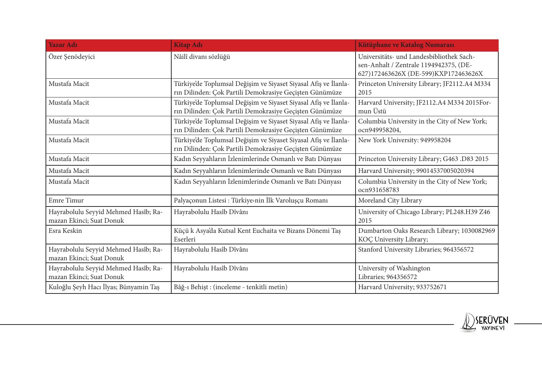| <b>Yazar Adı</b>                                                 | <b>Kitap Adı</b>                                                                                                           | Kütüphane ve Katalog Numarası                                                                                              |
|------------------------------------------------------------------|----------------------------------------------------------------------------------------------------------------------------|----------------------------------------------------------------------------------------------------------------------------|
| Özer Şenödeyici                                                  | Nâilî divanı sözlüğü                                                                                                       | Universitäts- und Landesbibliothek Sach-<br>sen-Anhalt / Zentrale 1194942375, (DE-<br>627)172463626X (DE-599)KXP172463626X |
| Mustafa Macit                                                    | Türkiye'de Toplumsal Değişim ve Siyaset Siyasal Afiş ve İlanla-<br>rın Dilinden: Çok Partili Demokrasiye Geçişten Günümüze | Princeton University Library; JF2112.A4 M334<br>2015                                                                       |
| Mustafa Macit                                                    | Türkiye'de Toplumsal Değişim ve Siyaset Siyasal Afiş ve İlanla-<br>rın Dilinden: Çok Partili Demokrasiye Geçişten Günümüze | Harvard University; JF2112.A4 M334 2015For-<br>mun Üstü                                                                    |
| Mustafa Macit                                                    | Türkiye'de Toplumsal Değişim ve Siyaset Siyasal Afiş ve İlanla-<br>rın Dilinden: Çok Partili Demokrasiye Geçişten Günümüze | Columbia University in the City of New York;<br>ocn949958204,                                                              |
| Mustafa Macit                                                    | Türkiye'de Toplumsal Değişim ve Siyaset Siyasal Afiş ve İlanla-<br>rın Dilinden: Çok Partili Demokrasiye Geçişten Günümüze | New York University: 949958204                                                                                             |
| Mustafa Macit                                                    | Kadın Seyyahların İzlenimlerinde Osmanlı ve Batı Dünyası                                                                   | Princeton University Library; G463 .D83 2015                                                                               |
| Mustafa Macit                                                    | Kadın Seyyahların İzlenimlerinde Osmanlı ve Batı Dünyası                                                                   | Harvard University; 99014537005020394                                                                                      |
| Mustafa Macit                                                    | Kadın Seyyahların İzlenimlerinde Osmanlı ve Batı Dünyası                                                                   | Columbia University in the City of New York;<br>ocn931658783                                                               |
| Emre Timur                                                       | Palyaçonun Listesi : Türkiye>nin İlk Varoluşçu Romanı                                                                      | Moreland City Library                                                                                                      |
| Hayrabolulu Seyyid Mehmed Hasîb; Ra-<br>mazan Ekinci; Suat Donuk | Hayrabolulu Hasîb Dîvânı                                                                                                   | University of Chicago Library; PL248.H39 Z46<br>2015                                                                       |
| Esra Keskin                                                      | Küçü k Asya'da Kutsal Kent Euchaita ve Bizans Dönemi Taş<br>Eserleri                                                       | Dumbarton Oaks Research Library; 1030082969<br>KOÇ University Library;                                                     |
| Hayrabolulu Seyyid Mehmed Hasîb; Ra-<br>mazan Ekinci; Suat Donuk | Hayrabolulu Hasîb Dîvânı                                                                                                   | Stanford University Libraries; 964356572                                                                                   |
| Hayrabolulu Seyyid Mehmed Hasîb; Ra-<br>mazan Ekinci; Suat Donuk | Hayrabolulu Hasîb Dîvânı                                                                                                   | University of Washington<br>Libraries; 964356572                                                                           |
| Kuloğlu Şeyh Hacı İlyas; Bünyamin Taş                            | Bâğ-ı Behişt : (inceleme - tenkitli metin)                                                                                 | Harvard University; 933752671                                                                                              |